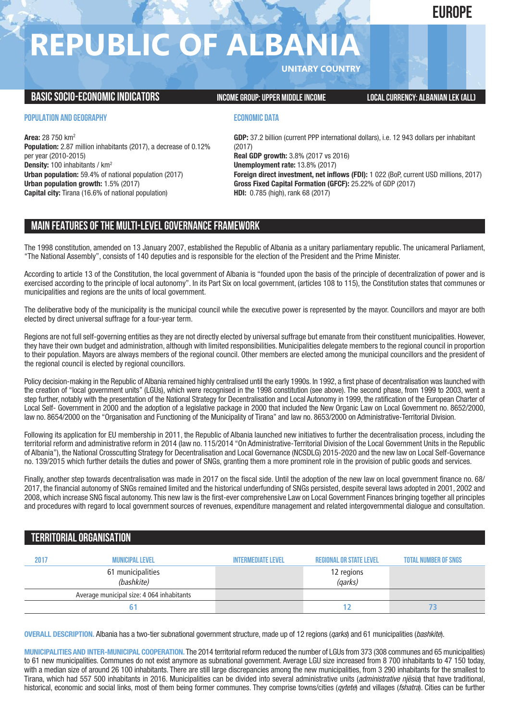## **EUROPE**

## **REPUBLIC OF ALBAN**

**UNITARY COUNTRY**

### **BASICSOCIO-ECONOMICINDICATORS INCOMEGROUP:UPPER MIDDLEINCOME LOCALCURRENCY: ALBANIAN LEK (ALL)**

### **POPULATION AND GEOGRAPHY**

**Area:** 28 750 km2 **Population:** 2.87 million inhabitants (2017), a decrease of 0.12% per year (2010-2015) **Density:** 100 inhabitants / km2 **Urban population:** 59.4% of national population (2017) **Urban population growth:** 1.5% (2017) **Capital city:** Tirana (16.6% of national population)

#### **ECONOMIC DATA**

**GDP:** 37.2 billion (current PPP international dollars), i.e. 12 943 dollars per inhabitant (2017) **Real GDP growth:** 3.8% (2017 vs 2016) **Unemployment rate:** 13.8% (2017) **Foreign direct investment, net inflows (FDI):** 1 022 (BoP, current USD millions, 2017) **Gross Fixed Capital Formation (GFCF):** 25.22% of GDP (2017) **HDI:** 0.785 (high), rank 68 (2017)

## **MAIN FEATURESOFTHE MULTI-LEVELGOVERNANCEFRAMEWORK**

The 1998 constitution, amended on 13 January 2007, established the Republic of Albania as a unitary parliamentary republic. The unicameral Parliament, "The National Assembly", consists of 140 deputies and is responsible for the election of the President and the Prime Minister.

According to article 13 of the Constitution, the local government of Albania is "founded upon the basis of the principle of decentralization of power and is exercised according to the principle of local autonomy". In its Part Six on local government, (articles 108 to 115), the Constitution states that communes or municipalities and regions are the units of local government.

The deliberative body of the municipality is the municipal council while the executive power is represented by the mayor. Councillors and mayor are both elected by direct universal suffrage for a four-year term.

Regions are not full self-governing entities as they are not directly elected by universal suffrage but emanate from their constituent municipalities. However, they have their own budget and administration, although with limited responsibilities. Municipalities delegate members to the regional council in proportion to their population. Mayors are always members of the regional council. Other members are elected among the municipal councillors and the president of the regional council is elected by regional councillors.

Policy decision-making in the Republic of Albania remained highly centralised until the early 1990s. In 1992, a first phase of decentralisation was launched with the creation of "local government units" (LGUs), which were recognised in the 1998 constitution (see above). The second phase, from 1999 to 2003, went a step further, notably with the presentation of the National Strategy for Decentralisation and Local Autonomy in 1999, the ratification of the European Charter of Local Self- Government in 2000 and the adoption of a legislative package in 2000 that included the New Organic Law on Local Government no. 8652/2000, law no. 8654/2000 on the "Organisation and Functioning of the Municipality of Tirana" and law no. 8653/2000 on Administrative-Territorial Division.

Following its application for EU membership in 2011, the Republic of Albania launched new initiatives to further the decentralisation process, including the territorial reform and administrative reform in 2014 (law no. 115/2014 "On Administrative-Territorial Division of the Local Government Units in the Republic of Albania"), the National Crosscutting Strategy for Decentralisation and Local Governance (NCSDLG) 2015-2020 and the new law on Local Self-Governance no. 139/2015 which further details the duties and power of SNGs, granting them a more prominent role in the provision of public goods and services.

Finally, another step towards decentralisation was made in 2017 on the fiscal side. Until the adoption of the new law on local government finance no. 68/ 2017, the financial autonomy of SNGs remained limited and the historical underfunding of SNGs persisted, despite several laws adopted in 2001, 2002 and 2008, which increase SNG fiscal autonomy. This new law is the first-ever comprehensive Law on Local Government Finances bringing together all principles and procedures with regard to local government sources of revenues, expenditure management and related intergovernmental dialogue and consultation.

## **TERRITORIALORGANISATION**

| 2017 | <b>MUNICIPAL LEVEL</b>                    | <b>INTERMEDIATE LEVEL</b> | <b>REGIONAL OR STATE LEVEL</b> | <b>TOTAL NUMBER OF SNGS</b> |
|------|-------------------------------------------|---------------------------|--------------------------------|-----------------------------|
|      | 61 municipalities<br>(bashkite)           |                           | 12 regions<br><i>(qarks)</i>   |                             |
|      | Average municipal size: 4 064 inhabitants |                           |                                |                             |
|      |                                           |                           |                                |                             |

**OVERALL DESCRIPTION.** Albania has a two-tier subnational government structure, made up of 12 regions (*qarks*) and 61 municipalities (*bashkite*).

**MUNICIPALITIES AND INTER-MUNICIPAL COOPERATION.** The 2014 territorial reform reduced the number of LGUs from 373 (308 communes and 65 municipalities) to 61 new municipalities. Communes do not exist anymore as subnational government. Average LGU size increased from 8 700 inhabitants to 47 150 today, with a median size of around 26 100 inhabitants. There are still large discrepancies among the new municipalities, from 3 290 inhabitants for the smallest to Tirana, which had 557 500 inhabitants in 2016. Municipalities can be divided into several administrative units (*administrative njësia*) that have traditional, historical, economic and social links, most of them being former communes. They comprise towns/cities (*qytete*) and villages (*fshatra*). Cities can be further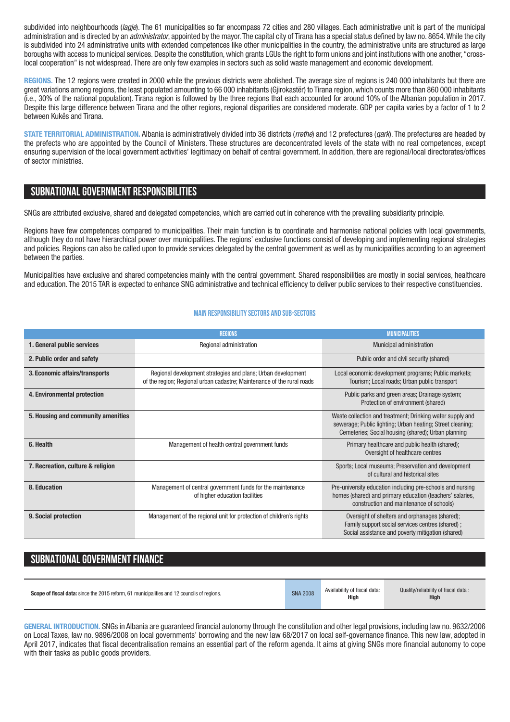subdivided into neighbourhoods (*lagje*). The 61 municipalities so far encompass 72 cities and 280 villages. Each administrative unit is part of the municipal administration and is directed by an *administrator*, appointed by the mayor. The capital city of Tirana has a special status defined by law no. 8654.While the city is subdivided into 24 administrative units with extended competences like other municipalities in the country, the administrative units are structured as large boroughs with access to municipal services. Despite the constitution, which grants LGUs the right to form unions and joint institutions with one another, "crosslocal cooperation" is not widespread. There are only few examples in sectors such as solid waste management and economic development.

**REGIONS.** The 12 regions were created in 2000 while the previous districts were abolished. The average size of regions is 240 000 inhabitants but there are great variations among regions, the least populated amounting to 66 000 inhabitants (Gjirokastër) to Tirana region, which counts more than 860 000 inhabitants (i.e., 30% of the national population). Tirana region is followed by the three regions that each accounted for around 10% of the Albanian population in 2017. Despite this large difference between Tirana and the other regions, regional disparities are considered moderate. GDP per capita varies by a factor of 1 to 2 between Kukës and Tirana.

**STATE TERRITORIAL ADMINISTRATION.** Albania is administratively divided into 36 districts (*rrethe*) and 12 prefectures (*qark*). The prefectures are headed by the prefects who are appointed by the Council of Ministers. These structures are deconcentrated levels of the state with no real competences, except ensuring supervision of the local government activities' legitimacy on behalf of central government. In addition, there are regional/local directorates/offices of sector ministries.

## **SUBNATIONALGOVERNMENT RESPONSIBILITIES**

SNGs are attributed exclusive, shared and delegated competencies, which are carried out in coherence with the prevailing subsidiarity principle.

Regions have few competences compared to municipalities. Their main function is to coordinate and harmonise national policies with local governments, although they do not have hierarchical power over municipalities. The regions' exclusive functions consist of developing and implementing regional strategies and policies. Regions can also be called upon to provide services delegated by the central government as well as by municipalities according to an agreement between the parties.

Municipalities have exclusive and shared competencies mainly with the central government. Shared responsibilities are mostly in social services, healthcare and education. The 2015 TAR is expected to enhance SNG administrative and technical efficiency to deliver public services to their respective constituencies.

#### **Main responsibilitysectors and sub-sectors**

|                                    | <b>REGIONS</b>                                                                                                                         | <b>MUNICIPALITIES</b>                                                                                                                                                          |
|------------------------------------|----------------------------------------------------------------------------------------------------------------------------------------|--------------------------------------------------------------------------------------------------------------------------------------------------------------------------------|
| 1. General public services         | Regional administration                                                                                                                | Municipal administration                                                                                                                                                       |
| 2. Public order and safety         |                                                                                                                                        | Public order and civil security (shared)                                                                                                                                       |
| 3. Economic affairs/transports     | Regional development strategies and plans; Urban development<br>of the region; Regional urban cadastre; Maintenance of the rural roads | Local economic development programs; Public markets;<br>Tourism; Local roads; Urban public transport                                                                           |
| 4. Environmental protection        |                                                                                                                                        | Public parks and green areas; Drainage system;<br>Protection of environment (shared)                                                                                           |
| 5. Housing and community amenities |                                                                                                                                        | Waste collection and treatment; Drinking water supply and<br>sewerage; Public lighting; Urban heating; Street cleaning;<br>Cemeteries; Social housing (shared); Urban planning |
| 6. Health                          | Management of health central government funds                                                                                          | Primary healthcare and public health (shared);<br>Oversight of healthcare centres                                                                                              |
| 7. Recreation, culture & religion  |                                                                                                                                        | Sports; Local museums; Preservation and development<br>of cultural and historical sites                                                                                        |
| 8. Education                       | Management of central government funds for the maintenance<br>of higher education facilities                                           | Pre-university education including pre-schools and nursing<br>homes (shared) and primary education (teachers' salaries,<br>construction and maintenance of schools)            |
| 9. Social protection               | Management of the regional unit for protection of children's rights                                                                    | Oversight of shelters and orphanages (shared);<br>Family support social services centres (shared);<br>Social assistance and poverty mitigation (shared)                        |

## SUBNATIONAL GOVERNMENT FINANCE

| <b>Scope of fiscal data:</b> since the 2015 reform, 61 municipalities and 12 councils of regions. | <b>SNA 2008</b> | Availability of fiscal data:<br><b>High</b> | Quality/reliability of fiscal data:<br>High |
|---------------------------------------------------------------------------------------------------|-----------------|---------------------------------------------|---------------------------------------------|
|---------------------------------------------------------------------------------------------------|-----------------|---------------------------------------------|---------------------------------------------|

**GENERAL INTRODUCTION.** SNGs in Albania are guaranteed financial autonomy through the constitution and other legal provisions, including law no. 9632/2006 on Local Taxes, law no. 9896/2008 on local governments' borrowing and the new law 68/2017 on local self-governance finance. This new law, adopted in April 2017, indicates that fiscal decentralisation remains an essential part of the reform agenda. It aims at giving SNGs more financial autonomy to cope with their tasks as public goods providers.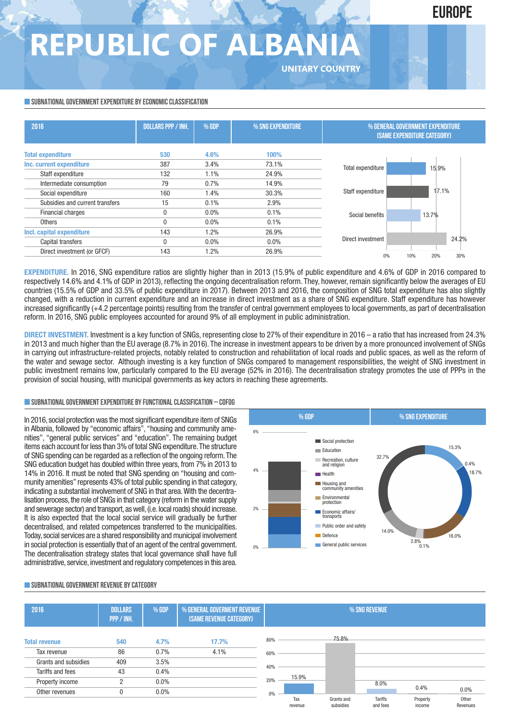## **EUROPE**

# **REPUBLIC OF ALBAN**

#### **SUBNATIONAL GOVERNMENT EXPENDITURE BY ECONOMIC CLASSIFICATION**

| 2016                            | <b>DOLLARS PPP / INH.</b> | $%$ GDP | % SNG EXPENDITURE | % GENERAL GOVERNMENT EXPENDITURE<br><b>(SAME EXPENDITURE CATEGORY)</b> |                   |  |  |
|---------------------------------|---------------------------|---------|-------------------|------------------------------------------------------------------------|-------------------|--|--|
| <b>Total expenditure</b>        | 530                       | 4.6%    | 100%              |                                                                        |                   |  |  |
| Inc. current expenditure        | 387                       | 3.4%    | 73.1%             | Total expenditure                                                      | 15.9%             |  |  |
| Staff expenditure               | 132<br>1.1%<br>24.9%      |         |                   |                                                                        |                   |  |  |
| Intermediate consumption        | 79                        | 0.7%    | 14.9%             |                                                                        |                   |  |  |
| Social expenditure              | 160                       | 1.4%    | 30.3%             | Staff expenditure                                                      | 17.1%             |  |  |
| Subsidies and current transfers | 15                        | 0.1%    | 2.9%              |                                                                        |                   |  |  |
| Financial charges               | 0                         | $0.0\%$ | 0.1%              | Social benefits                                                        | 13.7%             |  |  |
| <b>Others</b>                   | 0                         | $0.0\%$ | 0.1%              |                                                                        |                   |  |  |
| Incl. capital expenditure       | 143                       | 1.2%    | 26.9%             |                                                                        |                   |  |  |
| Capital transfers               | 0                         | $0.0\%$ | $0.0\%$           | Direct investment                                                      | 24.2%             |  |  |
| Direct investment (or GFCF)     | 143                       | $1.2\%$ | 26.9%             | 0%                                                                     | 30%<br>10%<br>20% |  |  |

**UNITARY COUNTRY**

**EXPENDITURE.** In 2016, SNG expenditure ratios are slightly higher than in 2013 (15.9% of public expenditure and 4.6% of GDP in 2016 compared to respectively 14.6% and 4.1% of GDP in 2013), reflecting the ongoing decentralisation reform. They, however, remain significantly below the averages of EU countries (15.5% of GDP and 33.5% of public expenditure in 2017). Between 2013 and 2016, the composition of SNG total expenditure has also slightly changed, with a reduction in current expenditure and an increase in direct investment as a share of SNG expenditure. Staff expenditure has however increased significantly (+4.2 percentage points) resulting from the transfer of central government employees to local governments, as part of decentralisation reform. In 2016, SNG public employees accounted for around 9% of all employment in public administration.

**DIRECT INVESTMENT.** Investment is a key function of SNGs, representing close to 27% of their expenditure in 2016 – a ratio that has increased from 24.3% in 2013 and much higher than the EU average (8.7% in 2016). The increase in investment appears to be driven by a more pronounced involvement of SNGs in carrying out infrastructure-related projects, notably related to construction and rehabilitation of local roads and public spaces, as well as the reform of the water and sewage sector. Although investing is a key function of SNGs compared to management responsibilities, the weight of SNG investment in public investment remains low, particularly compared to the EU average (52% in 2016). The decentralisation strategy promotes the use of PPPs in the provision of social housing, with municipal governments as key actors in reaching these agreements.

#### **SUBNATIONALGOVERNMENTEXPENDITURE BYFUNCTIONALCLASSIFICATION – COFOG**

In 2016, social protectionwas the most significant expenditure item of SNGs in Albania, followed by "economic affairs", "housing and community amenities", "general public services" and "education". The remaining budget items each account for less than 3% of total SNG expenditure.The structure of SNG spending can be regarded as a reflection of the ongoing reform.The SNG education budget has doubled within three years, from 7% in 2013 to 14% in 2016. It must be noted that SNG spending on "housing and community amenities" represents 43% of total public spending in that category, indicating a substantial involvement of SNG in that area. With the decentralisation process, the role of SNGs in that category (reform in the water supply and sewerage sector) and transport, as well, (i.e. local roads) should increase. It is also expected that the local social service will gradually be further decentralised, and related competences transferred to the municipalities. Today, social services are a shared responsibility and municipal involvement in social protection is essentially that of an agent of the central government. The decentralisation strategy states that local governance shall have full administrative, service, investment and regulatory competences in this area.



#### **SUBNATIONALGOVERNMENT REVENUE BYCATEGORY**

| 2016                 | <b>DOLLARS</b><br>PPP / INH. | % GENERAL GOVERMENT REVENUE<br>% GDP<br>(SAME REVENUE CATEGORY) |       | % SNG REVENUE |                |                         |                            |                    |                   |
|----------------------|------------------------------|-----------------------------------------------------------------|-------|---------------|----------------|-------------------------|----------------------------|--------------------|-------------------|
| <b>Total revenue</b> | 540                          | 4.7%                                                            | 17.7% | 80%           |                | 75.8%                   |                            |                    |                   |
| Tax revenue          | 86                           | 0.7%                                                            | 4.1%  | 60%           |                |                         |                            |                    |                   |
| Grants and subsidies | 409                          | 3.5%                                                            |       |               |                |                         |                            |                    |                   |
| Tariffs and fees     | 43                           | 0.4%                                                            |       | 40%           |                |                         |                            |                    |                   |
| Property income      | C                            | $0.0\%$                                                         |       | 20%           | 15.9%          |                         | 8.0%                       |                    |                   |
| Other revenues       |                              | $0.0\%$                                                         |       | $0\%$         |                |                         |                            | 0.4%               | $0.0\%$           |
|                      |                              |                                                                 |       |               | Tax<br>revenue | Grants and<br>subsidies | <b>Tariffs</b><br>and fees | Property<br>income | Other<br>Revenues |